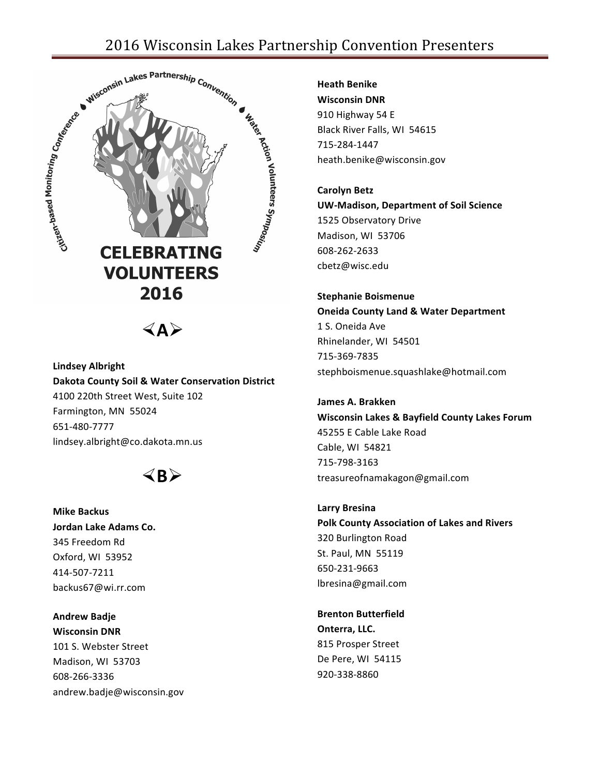

### **Lindsey Albright**

**Dakota County Soil & Water Conservation District** 4100 220th Street West, Suite 102 Farmington, MN 55024 651-480-7777 lindsey.albright@co.dakota.mn.us



**Mike Backus Jordan Lake Adams Co.** 345 Freedom Rd Oxford, WI 53952 414-507-7211 backus67@wi.rr.com

**Andrew Badje Wisconsin DNR** 101 S. Webster Street Madison, WI 53703 608-266-3336 andrew.badje@wisconsin.gov **Heath Benike Wisconsin DNR** 910 Highway 54 E Black River Falls, WI 54615 715-284-1447 heath.benike@wisconsin.gov

**Carolyn Betz UW-Madison, Department of Soil Science** 1525 Observatory Drive Madison, WI 53706 608-262-2633 cbetz@wisc.edu

**Stephanie Boismenue Oneida County Land & Water Department** 1 S. Oneida Ave Rhinelander, WI 54501 715-369-7835 stephboismenue.squashlake@hotmail.com

**James A. Brakken Wisconsin Lakes & Bayfield County Lakes Forum** 45255 E Cable Lake Road Cable, WI 54821 715-798-3163 treasureofnamakagon@gmail.com

**Larry Bresina Polk County Association of Lakes and Rivers** 320 Burlington Road St. Paul, MN 55119 650-231-9663 lbresina@gmail.com

**Brenton Butterfield Onterra, LLC.** 815 Prosper Street De Pere, WI 54115 920-338-8860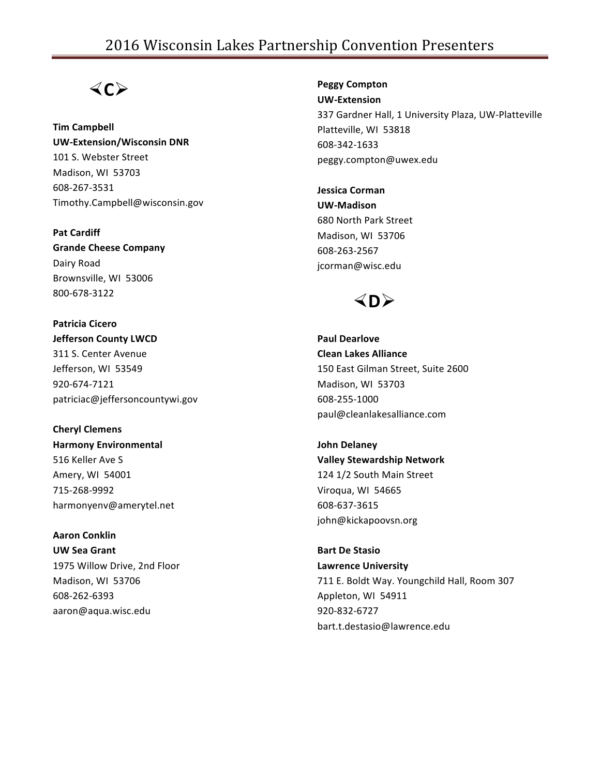# !**C**"

**Tim Campbell UW-Extension/Wisconsin DNR** 101 S. Webster Street Madison, WI 53703 608-267-3531 Timothy.Campbell@wisconsin.gov

**Pat Cardiff Grande Cheese Company** Dairy Road Brownsville, WI 53006 800-678-3122

**Patricia Cicero Jefferson County LWCD** 311 S. Center Avenue Jefferson, WI 53549 920-674-7121 patriciac@jeffersoncountywi.gov

**Cheryl Clemens Harmony Environmental** 516 Keller Ave S Amery, WI 54001 715-268-9992 harmonyenv@amerytel.net

**Aaron Conklin UW Sea Grant** 1975 Willow Drive, 2nd Floor Madison, WI 53706 608-262-6393 aaron@aqua.wisc.edu

**Peggy Compton UW-Extension** 337 Gardner Hall, 1 University Plaza, UW-Platteville Platteville, WI 53818 608-342-1633 peggy.compton@uwex.edu

**Jessica Corman UW-Madison** 680 North Park Street Madison, WI 53706 608-263-2567 jcorman@wisc.edu



**Paul Dearlove Clean Lakes Alliance** 150 East Gilman Street, Suite 2600 Madison, WI 53703 608-255-1000 paul@cleanlakesalliance.com

**John Delaney Valley Stewardship Network** 124 1/2 South Main Street Viroqua, WI 54665 608-637-3615 john@kickapoovsn.org

**Bart De Stasio Lawrence University** 711 E. Boldt Way. Youngchild Hall, Room 307 Appleton, WI 54911 920-832-6727 bart.t.destasio@lawrence.edu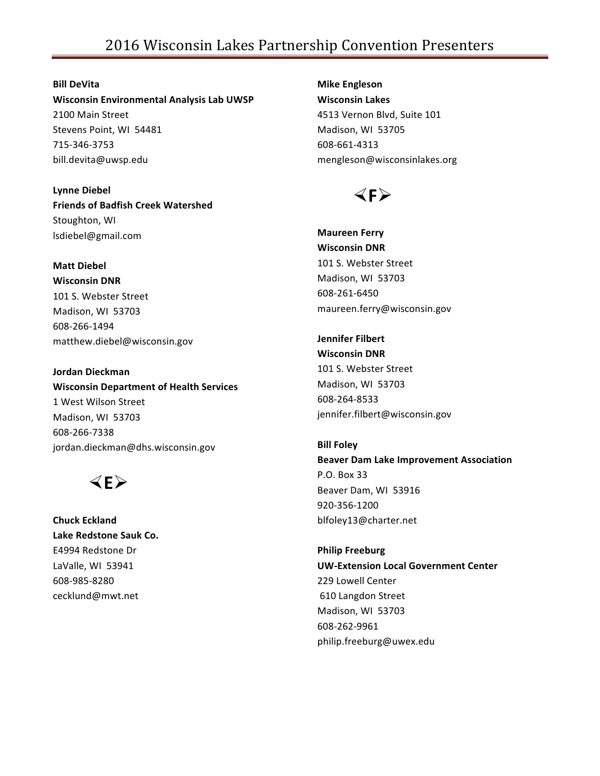### **Bill DeVita**

**Wisconsin Environmental Analysis Lab UWSP** 2100 Main Street Stevens Point, WI 54481 715-346-3753 bill.devita@uwsp.edu

**Lynne Diebel Friends of Badfish Creek Watershed** Stoughton, WI lsdiebel@gmail.com

#### **Matt Diebel**

**Wisconsin DNR** 101 S. Webster Street Madison, WI 53703 608-266-1494 matthew.diebel@wisconsin.gov

**Jordan Dieckman Wisconsin Department of Health Services** 1 West Wilson Street Madison, WI 53703 608-266-7338 jordan.dieckman@dhs.wisconsin.gov

 $\langle$ E $\rangle$ 

**Chuck Eckland** Lake Redstone Sauk Co. E4994 Redstone Dr LaValle, WI 53941 608-985-8280 cecklund@mwt.net

**Mike Engleson Wisconsin Lakes** 4513 Vernon Blvd, Suite 101 Madison, WI 53705 608-661-4313 mengleson@wisconsinlakes.org



**Maureen Ferry Wisconsin DNR** 101 S. Webster Street Madison, WI 53703 608-261-6450 maureen.ferry@wisconsin.gov

**Jennifer Filbert Wisconsin DNR** 101 S. Webster Street Madison, WI 53703 608-264-8533 jennifer.filbert@wisconsin.gov

**Bill Foley Beaver Dam Lake Improvement Association** P.O. Box 33 Beaver Dam, WI 53916 920-356-1200 blfoley13@charter.net

**Philip Freeburg UW-Extension Local Government Center** 229 Lowell Center 610 Langdon Street Madison, WI 53703 608-262-9961 philip.freeburg@uwex.edu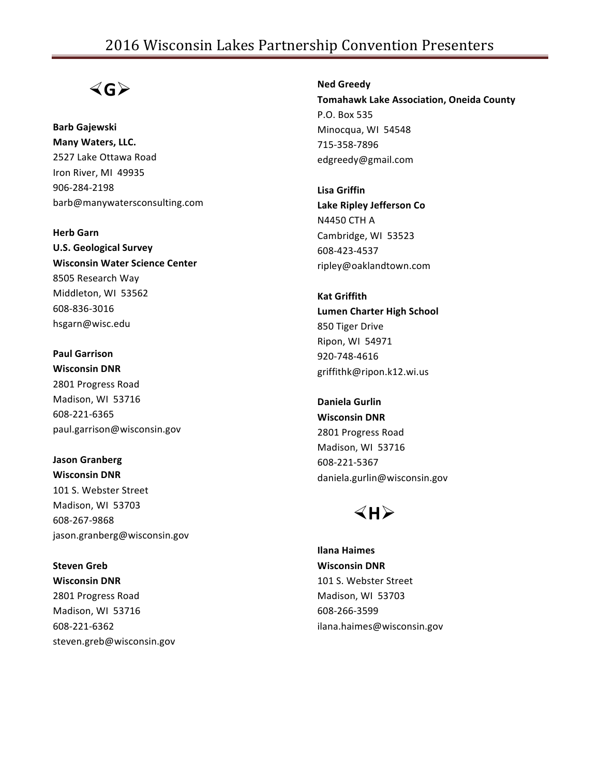# $\langle$ G $\rangle$

**Barb Gajewski Many Waters, LLC.** 2527 Lake Ottawa Road Iron River, MI 49935 906-284-2198 barb@manywatersconsulting.com

**Herb Garn U.S. Geological Survey Wisconsin Water Science Center** 8505 Research Way Middleton, WI 53562 608-836-3016 hsgarn@wisc.edu

**Paul Garrison Wisconsin DNR** 2801 Progress Road Madison, WI 53716 608-221-6365 paul.garrison@wisconsin.gov

**Jason Granberg Wisconsin DNR** 101 S. Webster Street Madison, WI 53703 608-267-9868 jason.granberg@wisconsin.gov

**Steven Greb Wisconsin DNR** 2801 Progress Road Madison, WI 53716 608-221-6362 steven.greb@wisconsin.gov

**Ned Greedy Tomahawk Lake Association, Oneida County** P.O. Box 535 Minocqua, WI 54548 715-358-7896 edgreedy@gmail.com

**Lisa Griffin Lake Ripley Jefferson Co N4450 CTH A** Cambridge, WI 53523 608-423-4537 ripley@oaklandtown.com

**Kat Griffith Lumen Charter High School** 850 Tiger Drive **Ripon, WI 54971** 920-748-4616 griffithk@ripon.k12.wi.us

**Daniela Gurlin Wisconsin DNR** 2801 Progress Road Madison, WI 53716 608-221-5367 daniela.gurlin@wisconsin.gov



**Ilana Haimes Wisconsin DNR** 101 S. Webster Street Madison, WI 53703 608-266-3599 ilana.haimes@wisconsin.gov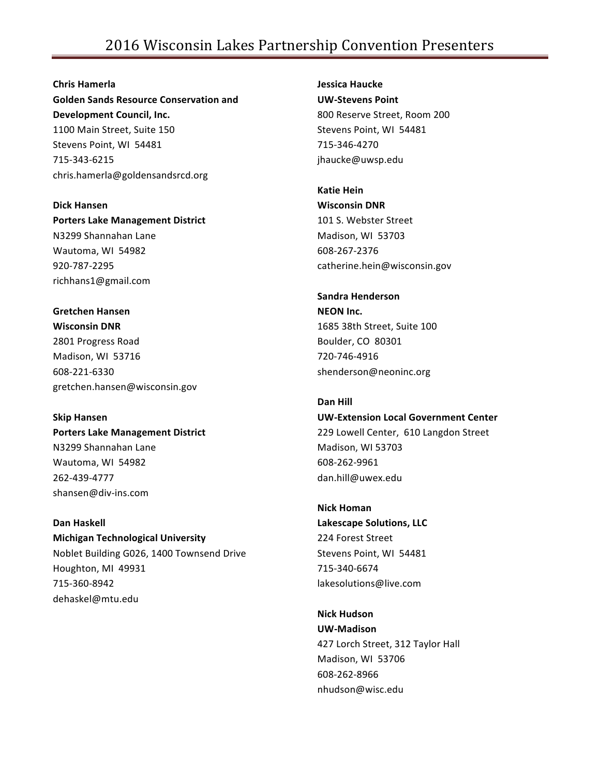**Chris Hamerla** Golden Sands Resource Conservation and **Development Council, Inc.** 1100 Main Street, Suite 150 Stevens Point, WI 54481 715-343-6215 chris.hamerla@goldensandsrcd.org

**Dick Hansen Porters Lake Management District** N3299 Shannahan Lane Wautoma, WI 54982 920-787-2295 richhans1@gmail.com

**Gretchen Hansen Wisconsin DNR** 2801 Progress Road Madison, WI 53716 608-221-6330 gretchen.hansen@wisconsin.gov

**Skip Hansen Porters Lake Management District** N3299 Shannahan Lane Wautoma, WI 54982 262-439-4777 shansen@div-ins.com

**Dan Haskell Michigan Technological University** Noblet Building G026, 1400 Townsend Drive Houghton, MI 49931 715-360-8942 dehaskel@mtu.edu

**Jessica Haucke UW-Stevens Point** 800 Reserve Street, Room 200 Stevens Point, WI 54481 715-346-4270 jhaucke@uwsp.edu

**Katie Hein Wisconsin DNR** 101 S. Webster Street Madison, WI 53703 608-267-2376 catherine.hein@wisconsin.gov

**Sandra Henderson NEON** Inc. 1685 38th Street, Suite 100 Boulder, CO 80301 720-746-4916 shenderson@neoninc.org

**Dan Hill UW-Extension Local Government Center** 229 Lowell Center, 610 Langdon Street Madison, WI 53703 608-262-9961 dan.hill@uwex.edu

**Nick Homan Lakescape Solutions, LLC** 224 Forest Street Stevens Point, WI 54481 715-340-6674 lakesolutions@live.com

**Nick Hudson UW-Madison** 427 Lorch Street, 312 Taylor Hall Madison, WI 53706 608-262-8966 nhudson@wisc.edu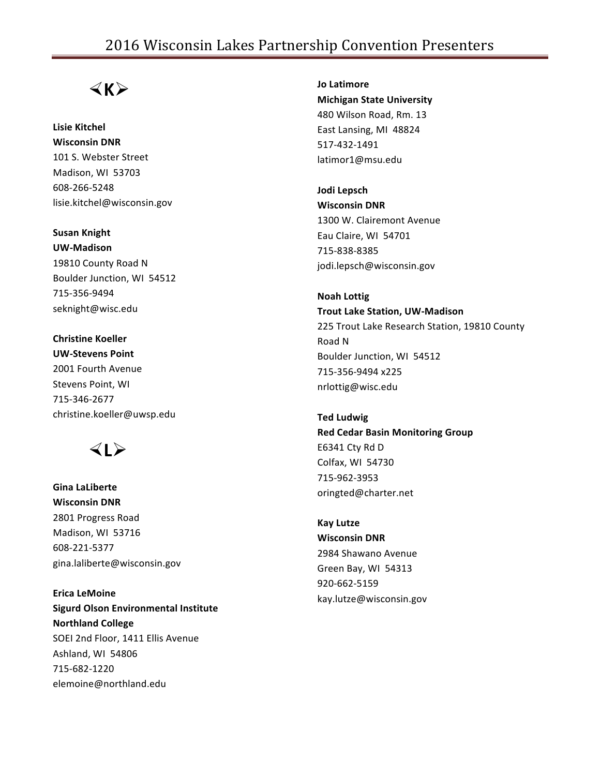# !**K**"

**Lisie Kitchel Wisconsin DNR** 101 S. Webster Street Madison, WI 53703 608-266-5248 lisie.kitchel@wisconsin.gov

**Susan Knight UW-Madison** 19810 County Road N Boulder Junction, WI 54512 715-356-9494 seknight@wisc.edu

**Christine Koeller UW-Stevens Point** 2001 Fourth Avenue Stevens Point, WI 715-346-2677 christine.koeller@uwsp.edu



**Gina LaLiberte Wisconsin DNR** 2801 Progress Road Madison, WI 53716 608-221-5377 gina.laliberte@wisconsin.gov

**Erica LeMoine Sigurd Olson Environmental Institute Northland College** SOEI 2nd Floor, 1411 Ellis Avenue Ashland, WI 54806 715-682-1220 elemoine@northland.edu

**Jo Latimore Michigan State University** 480 Wilson Road, Rm. 13 East Lansing, MI 48824 517-432-1491 latimor1@msu.edu

**Jodi Lepsch Wisconsin DNR** 1300 W. Clairemont Avenue Eau Claire, WI 54701 715-838-8385 jodi.lepsch@wisconsin.gov

**Noah Lottig Trout Lake Station, UW-Madison** 225 Trout Lake Research Station, 19810 County Road N Boulder Junction, WI 54512 715-356-9494 x225 nrlottig@wisc.edu

**Ted Ludwig Red Cedar Basin Monitoring Group** E6341 Cty Rd D Colfax, WI 54730 715-962-3953 oringted@charter.net

**Kay Lutze Wisconsin DNR** 2984 Shawano Avenue Green Bay, WI 54313 920-662-5159 kay.lutze@wisconsin.gov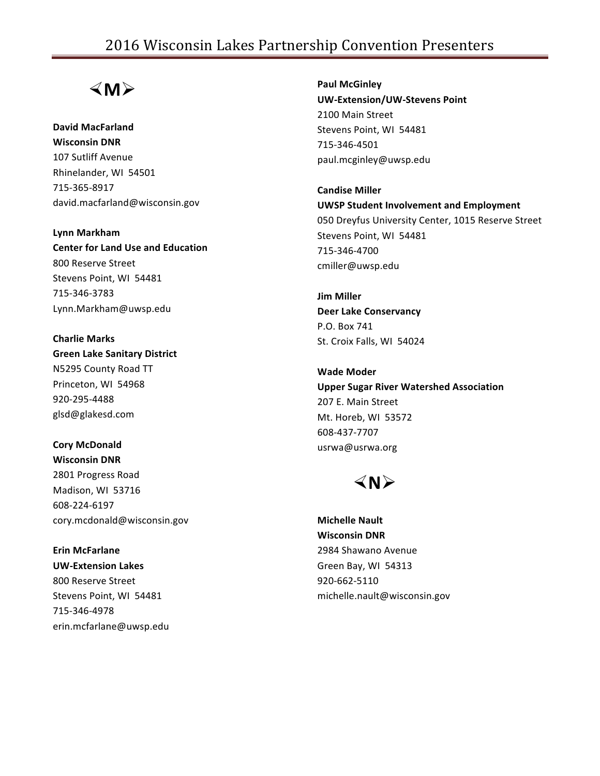# $\langle M \rangle$

**David MacFarland Wisconsin DNR** 107 Sutliff Avenue Rhinelander, WI 54501 715-365-8917 david.macfarland@wisconsin.gov

**Lynn Markham Center for Land Use and Education** 800 Reserve Street Stevens Point, WI 54481 715-346-3783 Lynn.Markham@uwsp.edu

**Charlie Marks Green Lake Sanitary District** N5295 County Road TT Princeton, WI 54968 920-295-4488 glsd@glakesd.com

**Cory McDonald Wisconsin DNR** 2801 Progress Road Madison, WI 53716 608-224-6197 cory.mcdonald@wisconsin.gov

**Erin McFarlane UW-Extension Lakes** 800 Reserve Street Stevens Point, WI 54481 715-346-4978 erin.mcfarlane@uwsp.edu

**Paul McGinley UW-Extension/UW-Stevens Point** 2100 Main Street Stevens Point, WI 54481 715-346-4501 paul.mcginley@uwsp.edu

**Candise Miller UWSP Student Involvement and Employment** 050 Dreyfus University Center, 1015 Reserve Street Stevens Point, WI 54481 715-346-4700 cmiller@uwsp.edu

**Jim Miller Deer Lake Conservancy** P.O. Box 741 St. Croix Falls, WI 54024

**Wade Moder Upper Sugar River Watershed Association** 207 E. Main Street Mt. Horeb, WI 53572 608-437-7707 usrwa@usrwa.org



**Michelle Nault Wisconsin DNR** 2984 Shawano Avenue Green Bay, WI 54313 920-662-5110 michelle.nault@wisconsin.gov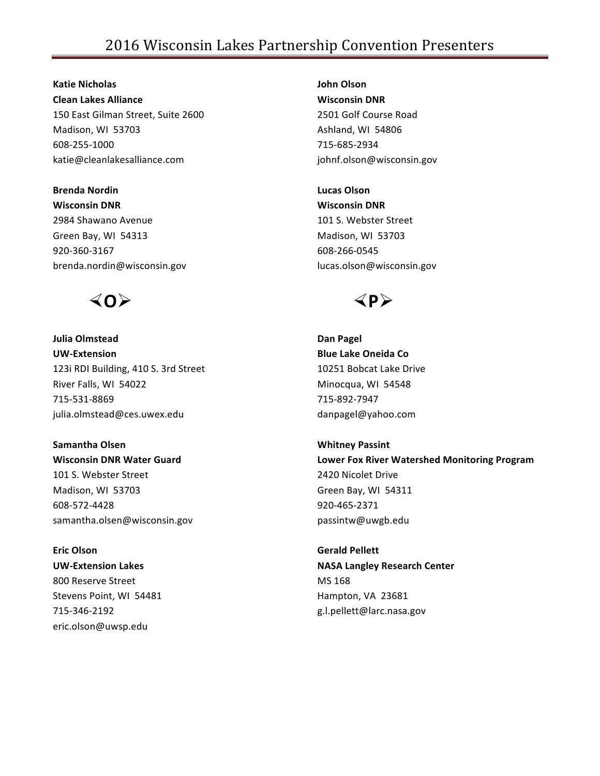**Katie Nicholas Clean Lakes Alliance** 150 East Gilman Street, Suite 2600 Madison, WI 53703 608-255-1000 katie@cleanlakesalliance.com

### **Brenda Nordin**

**Wisconsin DNR** 2984 Shawano Avenue Green Bay, WI 54313 920-360-3167 brenda.nordin@wisconsin.gov



**Julia Olmstead UW-Extension** 123i RDI Building, 410 S. 3rd Street River Falls, WI 54022 715-531-8869 julia.olmstead@ces.uwex.edu

**Samantha Olsen Wisconsin DNR Water Guard** 101 S. Webster Street Madison, WI 53703 608-572-4428 samantha.olsen@wisconsin.gov

**Eric Olson UW-Extension Lakes** 800 Reserve Street Stevens Point, WI 54481 715-346-2192 eric.olson@uwsp.edu

**John Olson Wisconsin DNR** 2501 Golf Course Road Ashland, WI 54806 715-685-2934 johnf.olson@wisconsin.gov

**Lucas Olson Wisconsin DNR** 101 S. Webster Street Madison, WI 53703 608-266-0545 lucas.olson@wisconsin.gov



**Dan Pagel Blue Lake Oneida Co** 10251 Bobcat Lake Drive Minocqua, WI 54548 715-892-7947 danpagel@yahoo.com

**Whitney Passint Lower Fox River Watershed Monitoring Program** 2420 Nicolet Drive Green Bay, WI 54311 920-465-2371 passintw@uwgb.edu

**Gerald Pellett NASA Langley Research Center** MS 168 Hampton, VA 23681 g.l.pellett@larc.nasa.gov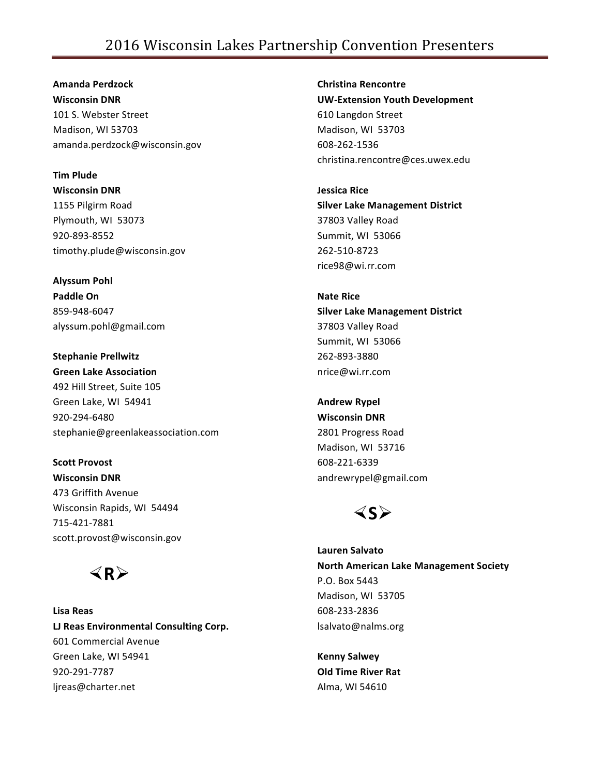**Amanda Perdzock Wisconsin DNR** 101 S. Webster Street Madison, WI 53703 amanda.perdzock@wisconsin.gov

### **Tim Plude**

**Wisconsin DNR** 1155 Pilgirm Road Plymouth, WI 53073 920-893-8552 timothy.plude@wisconsin.gov

**Alyssum Pohl Paddle On** 859-948-6047 alyssum.pohl@gmail.com

**Stephanie Prellwitz Green Lake Association** 492 Hill Street, Suite 105 Green Lake, WI 54941 920-294-6480 stephanie@greenlakeassociation.com

**Scott Provost Wisconsin DNR** 473 Griffith Avenue Wisconsin Rapids, WI 54494 715-421-7881 scott.provost@wisconsin.gov

 $\blacktriangleleft$  R $\triangleright$ 

**Lisa Reas LJ Reas Environmental Consulting Corp.** 601 Commercial Avenue Green Lake, WI 54941 920-291-7787 ljreas@charter.net

**Christina Rencontre UW-Extension Youth Development** 610 Langdon Street Madison, WI 53703 608-262-1536 christina.rencontre@ces.uwex.edu

**Jessica Rice Silver Lake Management District** 37803 Valley Road Summit, WI 53066 262-510-8723 rice98@wi.rr.com

**Nate Rice Silver Lake Management District** 37803 Valley Road Summit, WI 53066 262-893-3880 nrice@wi.rr.com

**Andrew Rypel Wisconsin DNR** 2801 Progress Road Madison, WI 53716 608-221-6339 andrewrypel@gmail.com



**Lauren Salvato North American Lake Management Society** P.O. Box 5443 Madison, WI 53705 608-233-2836 lsalvato@nalms.org

**Kenny Salwey Old Time River Rat** Alma, WI 54610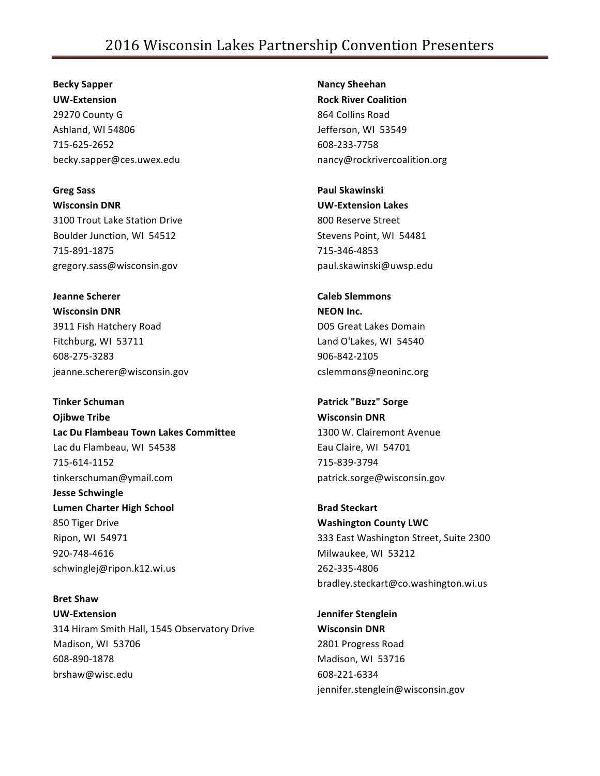### **Becky Sapper**

**UW-Extension** 29270 County G Ashland, WI 54806 715-625-2652 becky.sapper@ces.uwex.edu

#### **Greg Sass Wisconsin DNR**

3100 Trout Lake Station Drive Boulder Junction, WI 54512 715-891-1875 gregory.sass@wisconsin.gov

### **Jeanne Scherer Wisconsin DNR**

3911 Fish Hatchery Road Fitchburg, WI 53711 608-275-3283 jeanne.scherer@wisconsin.gov

**Tinker Schuman Ojibwe Tribe Lac Du Flambeau Town Lakes Committee** Lac du Flambeau, WI 54538 715-614-1152 tinkerschuman@ymail.com **Jesse Schwingle Lumen Charter High School** 850 Tiger Drive **Ripon, WI 54971** 920-748-4616 schwinglej@ripon.k12.wi.us

**Bret Shaw UW-Extension** 314 Hiram Smith Hall, 1545 Observatory Drive Madison, WI 53706 608-890-1878 brshaw@wisc.edu

**Nancy Sheehan Rock River Coalition** 864 Collins Road Jefferson, WI 53549 608-233-7758 nancy@rockrivercoalition.org

**Paul Skawinski UW-Extension Lakes** 800 Reserve Street Stevens Point, WI 54481 715-346-4853 paul.skawinski@uwsp.edu

**Caleb Slemmons NEON** Inc. D05 Great Lakes Domain Land O'Lakes, WI 54540 906-842-2105 cslemmons@neoninc.org

### **Patrick "Buzz" Sorge Wisconsin DNR** 1300 W. Clairemont Avenue Eau Claire, WI 54701 715-839-3794 patrick.sorge@wisconsin.gov

**Brad Steckart Washington County LWC** 333 East Washington Street, Suite 2300 Milwaukee, WI 53212 262-335-4806 bradley.steckart@co.washington.wi.us

**Jennifer Stenglein Wisconsin DNR** 2801 Progress Road Madison, WI 53716 608-221-6334 jennifer.stenglein@wisconsin.gov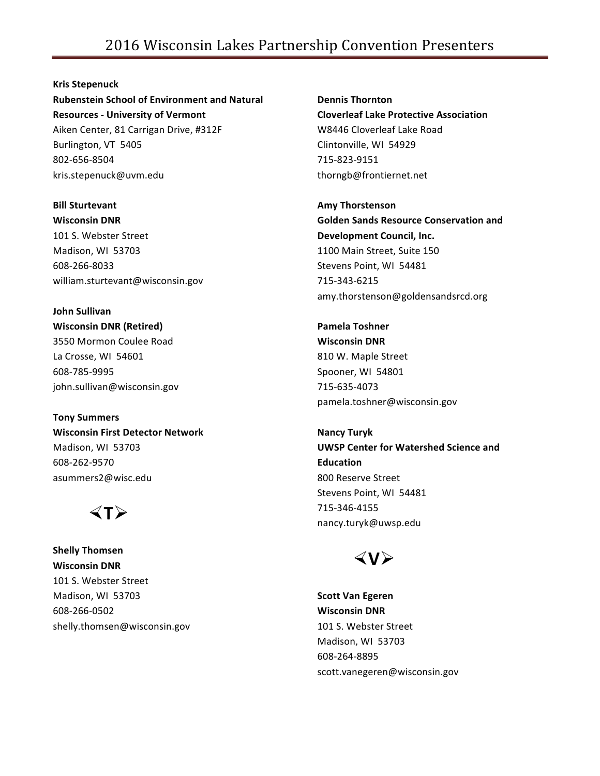**Kris Stepenuck**

**Rubenstein School of Environment and Natural Resources - University of Vermont** Aiken Center, 81 Carrigan Drive, #312F Burlington, VT 5405 802-656-8504 kris.stepenuck@uvm.edu

**Bill Sturtevant Wisconsin DNR** 101 S. Webster Street Madison, WI 53703 608-266-8033 william.sturtevant@wisconsin.gov

**John Sullivan Wisconsin DNR (Retired)** 3550 Mormon Coulee Road La Crosse, WI 54601 608-785-9995 john.sullivan@wisconsin.gov

**Tony Summers Wisconsin First Detector Network** Madison, WI 53703 608-262-9570 asummers2@wisc.edu



**Shelly Thomsen Wisconsin DNR** 101 S. Webster Street Madison, WI 53703 608-266-0502 shelly.thomsen@wisconsin.gov **Dennis Thornton Cloverleaf Lake Protective Association** W8446 Cloverleaf Lake Road Clintonville, WI 54929 715-823-9151 thorngb@frontiernet.net

**Amy Thorstenson Golden Sands Resource Conservation and Development Council, Inc.** 1100 Main Street, Suite 150 Stevens Point, WI 54481 715-343-6215 amy.thorstenson@goldensandsrcd.org

**Pamela Toshner Wisconsin DNR** 810 W. Maple Street Spooner, WI 54801 715-635-4073 pamela.toshner@wisconsin.gov

**Nancy Turyk UWSP Center for Watershed Science and Education** 800 Reserve Street Stevens Point, WI 54481 715-346-4155 nancy.turyk@uwsp.edu



**Scott Van Egeren Wisconsin DNR** 101 S. Webster Street Madison, WI 53703 608-264-8895 scott.vanegeren@wisconsin.gov